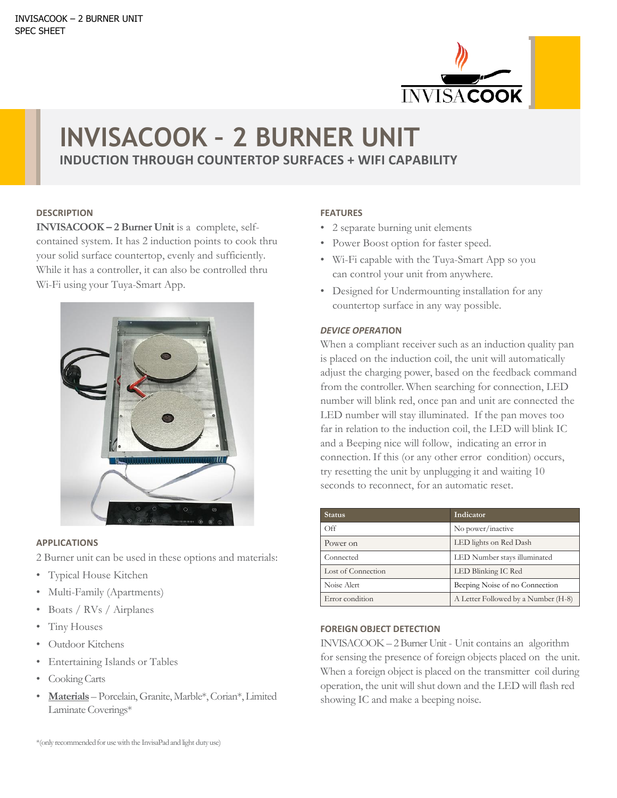

# **INVISACOOK – 2 BURNER UNIT INDUCTION THROUGH COUNTERTOP SURFACES + WIFI CAPABILITY**

#### **DESCRIPTION**

**INVISACOOK – 2 Burner Unit** is a complete, selfcontained system. It has 2 induction points to cook thru your solid surface countertop, evenly and sufficiently. While it has a controller, it can also be controlled thru Wi-Fi using your Tuya-Smart App.



#### **APPLICATIONS**

2 Burner unit can be used in these options and materials:

- Typical House Kitchen
- Multi-Family (Apartments)
- Boats / RVs / Airplanes
- Tiny Houses
- Outdoor Kitchens
- Entertaining Islands or Tables
- Cooking Carts
- **Materials** Porcelain, Granite, Marble\*, Corian\*, Limited Laminate Coverings\*

## **FEATURES**

- 2 separate burning unit elements
- Power Boost option for faster speed.
- Wi-Fi capable with the Tuya-Smart App so you can control your unit from anywhere.
- Designed for Undermounting installation for any countertop surface in any way possible.

## *DEVICE OPERAT***ION**

When a compliant receiver such as an induction quality pan is placed on the induction coil, the unit will automatically adjust the charging power, based on the feedback command from the controller. When searching for connection, LED number will blink red, once pan and unit are connected the LED number will stay illuminated. If the pan moves too far in relation to the induction coil, the LED will blink IC and a Beeping nice will follow, indicating an error in connection. If this (or any other error condition) occurs, try resetting the unit by unplugging it and waiting 10 seconds to reconnect, for an automatic reset.

| <b>Status</b>      | Indicator                           |
|--------------------|-------------------------------------|
| $\bigcirc$ ff      | No power/inactive                   |
| Power on           | LED lights on Red Dash              |
| Connected          | LED Number stays illuminated        |
| Lost of Connection | LED Blinking IC Red                 |
| Noise Alert        | Beeping Noise of no Connection      |
| Error condition    | A Letter Followed by a Number (H-8) |

### **FOREIGN OBJECT DETECTION**

INVISACOOK – 2 Burner Unit - Unit contains an algorithm for sensing the presence of foreign objects placed on the unit. When a foreign object is placed on the transmitter coil during operation, the unit will shut down and the LED will flash red showing IC and make a beeping noise.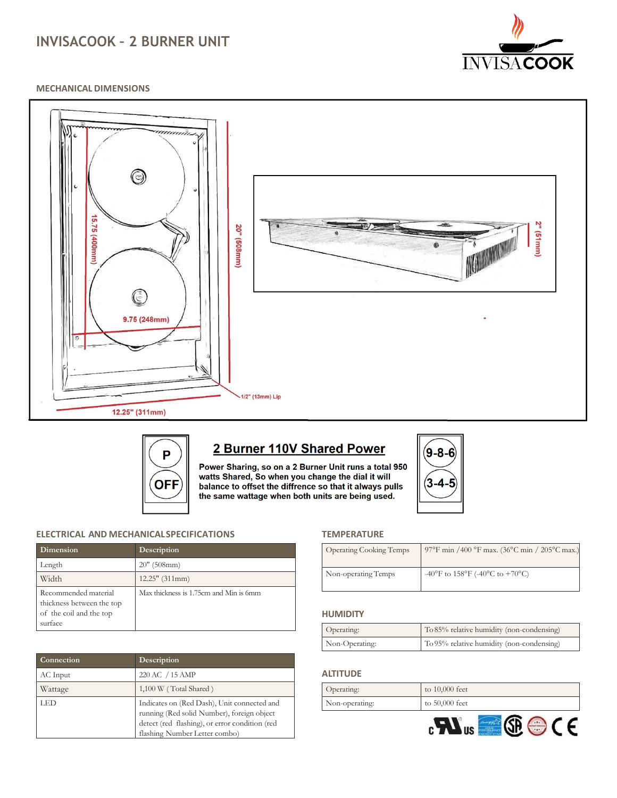# **INVISACOOK – 2 BURNER UNIT**



#### **MECHANICAL DIMENSIONS**





# 2 Burner 110V Shared Power

Power Sharing, so on a 2 Burner Unit runs a total 950 watts Shared, So when you change the dial it will balance to offset the diffrence so that it always pulls the same wattage when both units are being used.



#### **ELECTRICAL AND MECHANICALSPECIFICATIONS**

| Dimension                                                                               | Description                            |
|-----------------------------------------------------------------------------------------|----------------------------------------|
| Length                                                                                  | $20''$ (508mm)                         |
| Width                                                                                   | $12.25"$ (311mm)                       |
| Recommended material<br>thickness between the top<br>of the coil and the top<br>surface | Max thickness is 1.75cm and Min is 6mm |

| Connection | Description                                                                                                                                                                  |
|------------|------------------------------------------------------------------------------------------------------------------------------------------------------------------------------|
| AC Input   | 220 AC / 15 AMP                                                                                                                                                              |
| Wattage    | 1,100 W (Total Shared)                                                                                                                                                       |
| LED        | Indicates on (Red Dash), Unit connected and<br>running (Red solid Number), foreign object<br>detect (red flashing), or error condition (red<br>flashing Number Letter combo) |

#### **TEMPERATURE**

| <b>Operating Cooking Temps</b> | 97°F min /400 °F max. (36°C min / 205°C max.) |
|--------------------------------|-----------------------------------------------|
| Non-operating Temps            | -40°F to 158°F (-40°C to +70°C)               |

#### **HUMIDITY**

| Operating:     | To 85% relative humidity (non-condensing) |
|----------------|-------------------------------------------|
| Non-Operating: | To 95% relative humidity (non-condensing) |

#### **ALTITUDE**

| Operating:     | to $10,000$ feet |
|----------------|------------------|
| Non-operating: | to 50,000 feet   |
|                |                  |